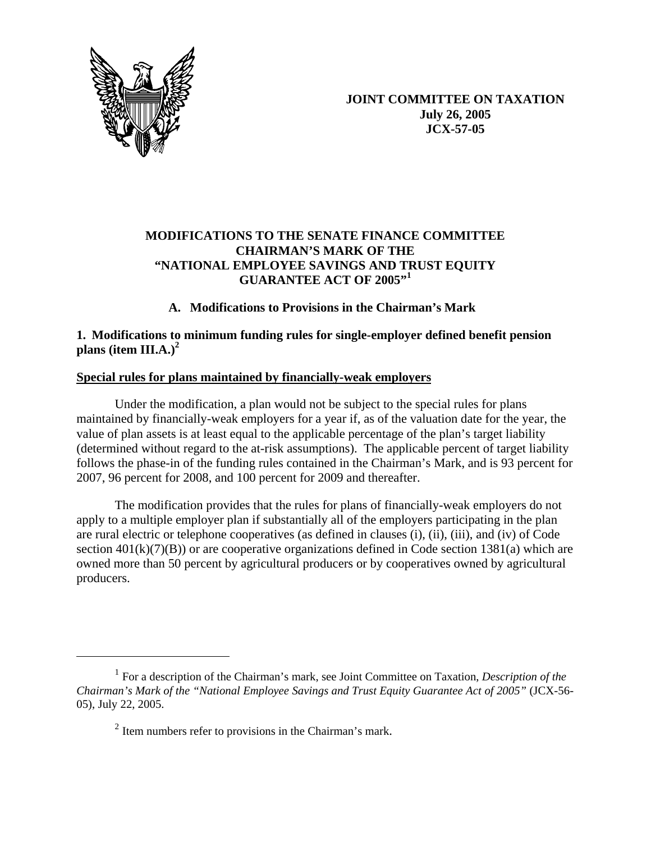

 $\overline{a}$ 

**JOINT COMMITTEE ON TAXATION July 26, 2005 JCX-57-05** 

# **MODIFICATIONS TO THE SENATE FINANCE COMMITTEE CHAIRMAN'S MARK OF THE "NATIONAL EMPLOYEE SAVINGS AND TRUST EQUITY GUARANTEE ACT OF 2005"<sup>1</sup>**

# **A. Modifications to Provisions in the Chairman's Mark**

# **1. Modifications to minimum funding rules for single-employer defined benefit pension plans (item III.A.)<sup>2</sup>**

# **Special rules for plans maintained by financially-weak employers**

Under the modification, a plan would not be subject to the special rules for plans maintained by financially-weak employers for a year if, as of the valuation date for the year, the value of plan assets is at least equal to the applicable percentage of the plan's target liability (determined without regard to the at-risk assumptions). The applicable percent of target liability follows the phase-in of the funding rules contained in the Chairman's Mark, and is 93 percent for 2007, 96 percent for 2008, and 100 percent for 2009 and thereafter.

The modification provides that the rules for plans of financially-weak employers do not apply to a multiple employer plan if substantially all of the employers participating in the plan are rural electric or telephone cooperatives (as defined in clauses (i), (ii), (iii), and (iv) of Code section  $401(k)(7)(B)$ ) or are cooperative organizations defined in Code section 1381(a) which are owned more than 50 percent by agricultural producers or by cooperatives owned by agricultural producers.

<sup>1</sup> For a description of the Chairman's mark, see Joint Committee on Taxation, *Description of the Chairman's Mark of the "National Employee Savings and Trust Equity Guarantee Act of 2005"* (JCX-56- 05), July 22, 2005.

 $2$  Item numbers refer to provisions in the Chairman's mark.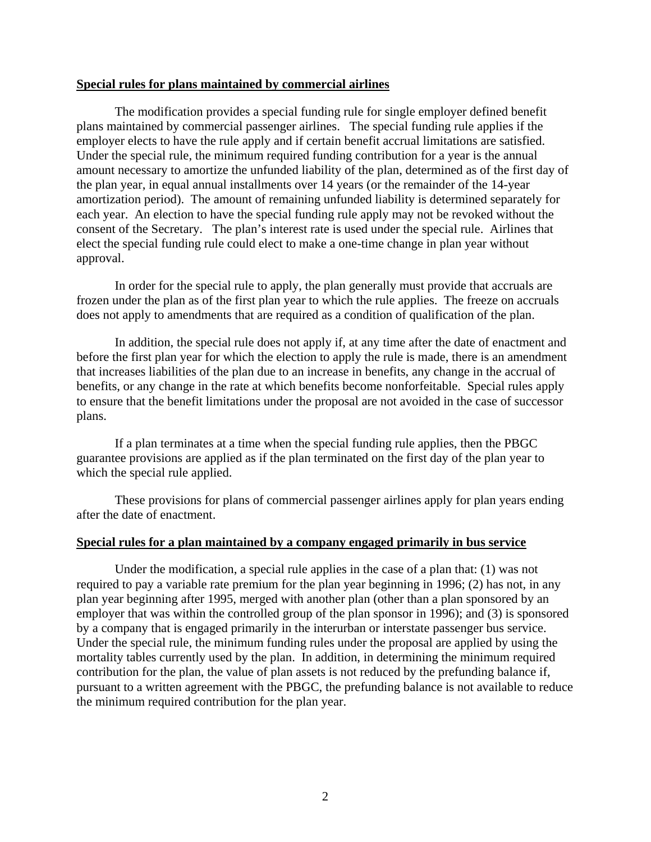#### **Special rules for plans maintained by commercial airlines**

The modification provides a special funding rule for single employer defined benefit plans maintained by commercial passenger airlines. The special funding rule applies if the employer elects to have the rule apply and if certain benefit accrual limitations are satisfied. Under the special rule, the minimum required funding contribution for a year is the annual amount necessary to amortize the unfunded liability of the plan, determined as of the first day of the plan year, in equal annual installments over 14 years (or the remainder of the 14-year amortization period). The amount of remaining unfunded liability is determined separately for each year. An election to have the special funding rule apply may not be revoked without the consent of the Secretary. The plan's interest rate is used under the special rule. Airlines that elect the special funding rule could elect to make a one-time change in plan year without approval.

In order for the special rule to apply, the plan generally must provide that accruals are frozen under the plan as of the first plan year to which the rule applies. The freeze on accruals does not apply to amendments that are required as a condition of qualification of the plan.

In addition, the special rule does not apply if, at any time after the date of enactment and before the first plan year for which the election to apply the rule is made, there is an amendment that increases liabilities of the plan due to an increase in benefits, any change in the accrual of benefits, or any change in the rate at which benefits become nonforfeitable. Special rules apply to ensure that the benefit limitations under the proposal are not avoided in the case of successor plans.

If a plan terminates at a time when the special funding rule applies, then the PBGC guarantee provisions are applied as if the plan terminated on the first day of the plan year to which the special rule applied.

These provisions for plans of commercial passenger airlines apply for plan years ending after the date of enactment.

#### **Special rules for a plan maintained by a company engaged primarily in bus service**

Under the modification, a special rule applies in the case of a plan that: (1) was not required to pay a variable rate premium for the plan year beginning in 1996; (2) has not, in any plan year beginning after 1995, merged with another plan (other than a plan sponsored by an employer that was within the controlled group of the plan sponsor in 1996); and (3) is sponsored by a company that is engaged primarily in the interurban or interstate passenger bus service. Under the special rule, the minimum funding rules under the proposal are applied by using the mortality tables currently used by the plan. In addition, in determining the minimum required contribution for the plan, the value of plan assets is not reduced by the prefunding balance if, pursuant to a written agreement with the PBGC, the prefunding balance is not available to reduce the minimum required contribution for the plan year.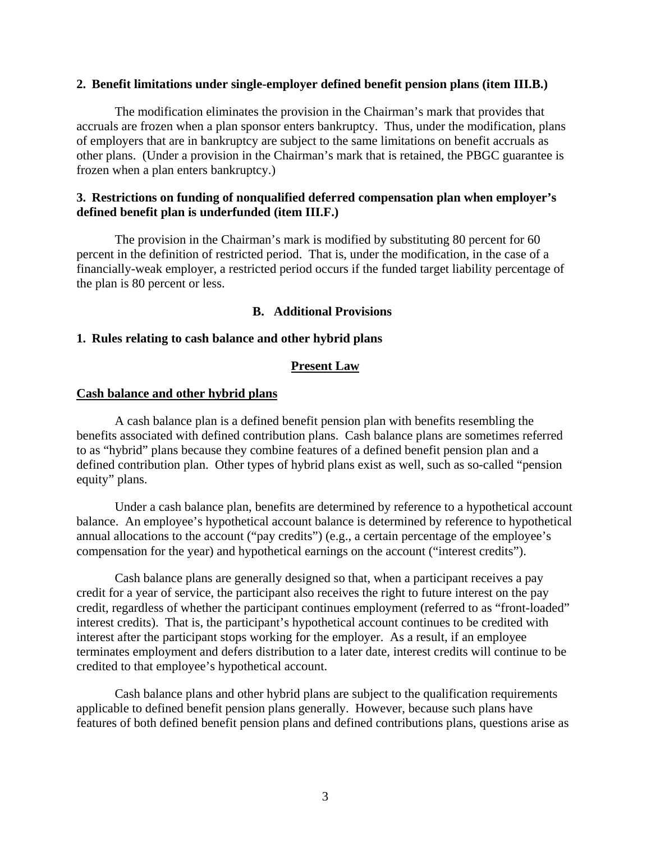#### **2. Benefit limitations under single-employer defined benefit pension plans (item III.B.)**

The modification eliminates the provision in the Chairman's mark that provides that accruals are frozen when a plan sponsor enters bankruptcy. Thus, under the modification, plans of employers that are in bankruptcy are subject to the same limitations on benefit accruals as other plans. (Under a provision in the Chairman's mark that is retained, the PBGC guarantee is frozen when a plan enters bankruptcy.)

### **3. Restrictions on funding of nonqualified deferred compensation plan when employer's defined benefit plan is underfunded (item III.F.)**

The provision in the Chairman's mark is modified by substituting 80 percent for 60 percent in the definition of restricted period. That is, under the modification, in the case of a financially-weak employer, a restricted period occurs if the funded target liability percentage of the plan is 80 percent or less.

#### **B. Additional Provisions**

#### **1. Rules relating to cash balance and other hybrid plans**

### **Present Law**

#### **Cash balance and other hybrid plans**

A cash balance plan is a defined benefit pension plan with benefits resembling the benefits associated with defined contribution plans. Cash balance plans are sometimes referred to as "hybrid" plans because they combine features of a defined benefit pension plan and a defined contribution plan. Other types of hybrid plans exist as well, such as so-called "pension equity" plans.

Under a cash balance plan, benefits are determined by reference to a hypothetical account balance. An employee's hypothetical account balance is determined by reference to hypothetical annual allocations to the account ("pay credits") (e.g., a certain percentage of the employee's compensation for the year) and hypothetical earnings on the account ("interest credits").

Cash balance plans are generally designed so that, when a participant receives a pay credit for a year of service, the participant also receives the right to future interest on the pay credit, regardless of whether the participant continues employment (referred to as "front-loaded" interest credits). That is, the participant's hypothetical account continues to be credited with interest after the participant stops working for the employer. As a result, if an employee terminates employment and defers distribution to a later date, interest credits will continue to be credited to that employee's hypothetical account.

Cash balance plans and other hybrid plans are subject to the qualification requirements applicable to defined benefit pension plans generally. However, because such plans have features of both defined benefit pension plans and defined contributions plans, questions arise as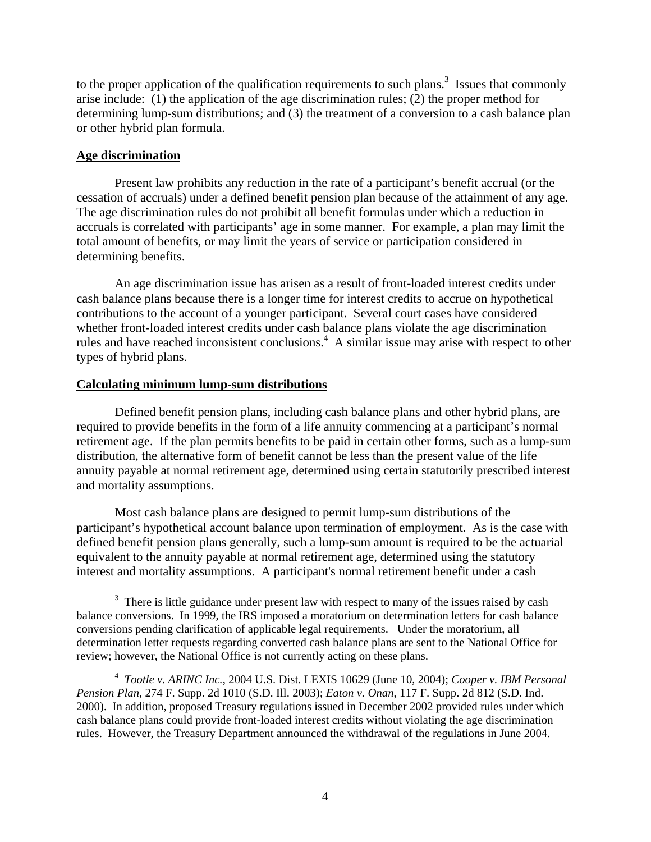to the proper application of the qualification requirements to such plans.<sup>3</sup> Issues that commonly arise include: (1) the application of the age discrimination rules; (2) the proper method for determining lump-sum distributions; and (3) the treatment of a conversion to a cash balance plan or other hybrid plan formula.

# **Age discrimination**

Present law prohibits any reduction in the rate of a participant's benefit accrual (or the cessation of accruals) under a defined benefit pension plan because of the attainment of any age. The age discrimination rules do not prohibit all benefit formulas under which a reduction in accruals is correlated with participants' age in some manner. For example, a plan may limit the total amount of benefits, or may limit the years of service or participation considered in determining benefits.

An age discrimination issue has arisen as a result of front-loaded interest credits under cash balance plans because there is a longer time for interest credits to accrue on hypothetical contributions to the account of a younger participant. Several court cases have considered whether front-loaded interest credits under cash balance plans violate the age discrimination rules and have reached inconsistent conclusions.<sup>4</sup> A similar issue may arise with respect to other types of hybrid plans.

# **Calculating minimum lump-sum distributions**

Defined benefit pension plans, including cash balance plans and other hybrid plans, are required to provide benefits in the form of a life annuity commencing at a participant's normal retirement age. If the plan permits benefits to be paid in certain other forms, such as a lump-sum distribution, the alternative form of benefit cannot be less than the present value of the life annuity payable at normal retirement age, determined using certain statutorily prescribed interest and mortality assumptions.

Most cash balance plans are designed to permit lump-sum distributions of the participant's hypothetical account balance upon termination of employment. As is the case with defined benefit pension plans generally, such a lump-sum amount is required to be the actuarial equivalent to the annuity payable at normal retirement age, determined using the statutory interest and mortality assumptions. A participant's normal retirement benefit under a cash

 $\frac{1}{3}$ <sup>3</sup> There is little guidance under present law with respect to many of the issues raised by cash balance conversions. In 1999, the IRS imposed a moratorium on determination letters for cash balance conversions pending clarification of applicable legal requirements. Under the moratorium, all determination letter requests regarding converted cash balance plans are sent to the National Office for review; however, the National Office is not currently acting on these plans.

<sup>4</sup> *Tootle v. ARINC Inc.*, 2004 U.S. Dist. LEXIS 10629 (June 10, 2004); *Cooper v. IBM Personal Pension Plan*, 274 F. Supp. 2d 1010 (S.D. Ill. 2003); *Eaton v. Onan*, 117 F. Supp. 2d 812 (S.D. Ind. 2000). In addition, proposed Treasury regulations issued in December 2002 provided rules under which cash balance plans could provide front-loaded interest credits without violating the age discrimination rules. However, the Treasury Department announced the withdrawal of the regulations in June 2004.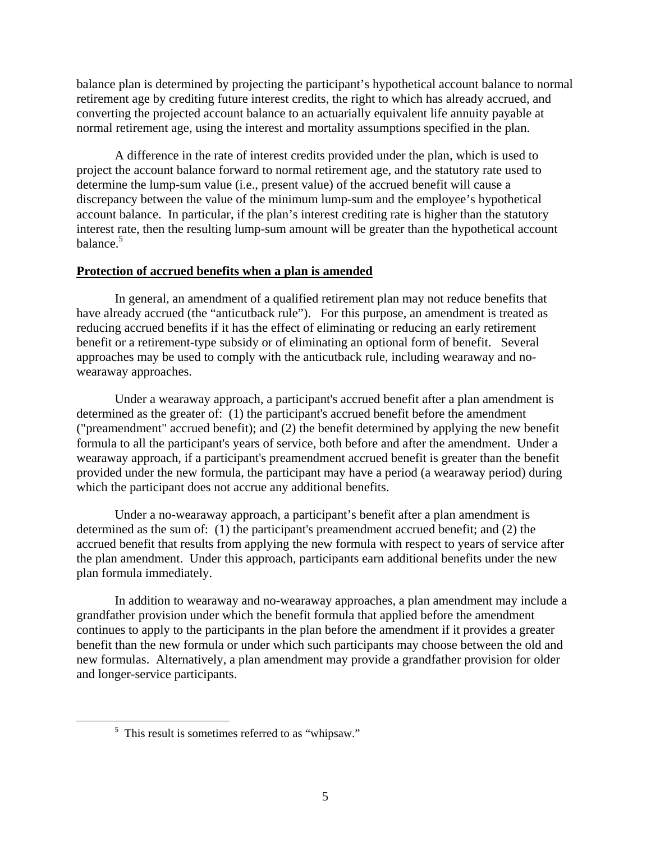balance plan is determined by projecting the participant's hypothetical account balance to normal retirement age by crediting future interest credits, the right to which has already accrued, and converting the projected account balance to an actuarially equivalent life annuity payable at normal retirement age, using the interest and mortality assumptions specified in the plan.

A difference in the rate of interest credits provided under the plan, which is used to project the account balance forward to normal retirement age, and the statutory rate used to determine the lump-sum value (i.e., present value) of the accrued benefit will cause a discrepancy between the value of the minimum lump-sum and the employee's hypothetical account balance. In particular, if the plan's interest crediting rate is higher than the statutory interest rate, then the resulting lump-sum amount will be greater than the hypothetical account balance. $5$ 

### **Protection of accrued benefits when a plan is amended**

In general, an amendment of a qualified retirement plan may not reduce benefits that have already accrued (the "anticutback rule"). For this purpose, an amendment is treated as reducing accrued benefits if it has the effect of eliminating or reducing an early retirement benefit or a retirement-type subsidy or of eliminating an optional form of benefit. Several approaches may be used to comply with the anticutback rule, including wearaway and nowearaway approaches.

Under a wearaway approach, a participant's accrued benefit after a plan amendment is determined as the greater of: (1) the participant's accrued benefit before the amendment ("preamendment" accrued benefit); and (2) the benefit determined by applying the new benefit formula to all the participant's years of service, both before and after the amendment. Under a wearaway approach, if a participant's preamendment accrued benefit is greater than the benefit provided under the new formula, the participant may have a period (a wearaway period) during which the participant does not accrue any additional benefits.

Under a no-wearaway approach, a participant's benefit after a plan amendment is determined as the sum of: (1) the participant's preamendment accrued benefit; and (2) the accrued benefit that results from applying the new formula with respect to years of service after the plan amendment. Under this approach, participants earn additional benefits under the new plan formula immediately.

In addition to wearaway and no-wearaway approaches, a plan amendment may include a grandfather provision under which the benefit formula that applied before the amendment continues to apply to the participants in the plan before the amendment if it provides a greater benefit than the new formula or under which such participants may choose between the old and new formulas. Alternatively, a plan amendment may provide a grandfather provision for older and longer-service participants.

 $rac{1}{5}$  $<sup>5</sup>$  This result is sometimes referred to as "whipsaw."</sup>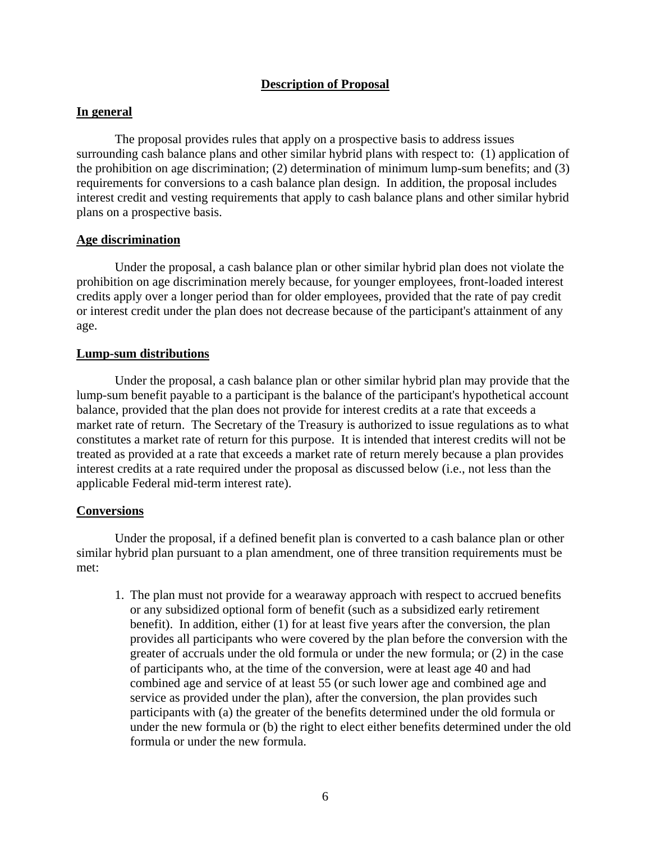# **Description of Proposal**

# **In general**

The proposal provides rules that apply on a prospective basis to address issues surrounding cash balance plans and other similar hybrid plans with respect to: (1) application of the prohibition on age discrimination; (2) determination of minimum lump-sum benefits; and (3) requirements for conversions to a cash balance plan design. In addition, the proposal includes interest credit and vesting requirements that apply to cash balance plans and other similar hybrid plans on a prospective basis.

# **Age discrimination**

Under the proposal, a cash balance plan or other similar hybrid plan does not violate the prohibition on age discrimination merely because, for younger employees, front-loaded interest credits apply over a longer period than for older employees, provided that the rate of pay credit or interest credit under the plan does not decrease because of the participant's attainment of any age.

# **Lump-sum distributions**

Under the proposal, a cash balance plan or other similar hybrid plan may provide that the lump-sum benefit payable to a participant is the balance of the participant's hypothetical account balance, provided that the plan does not provide for interest credits at a rate that exceeds a market rate of return. The Secretary of the Treasury is authorized to issue regulations as to what constitutes a market rate of return for this purpose. It is intended that interest credits will not be treated as provided at a rate that exceeds a market rate of return merely because a plan provides interest credits at a rate required under the proposal as discussed below (i.e., not less than the applicable Federal mid-term interest rate).

# **Conversions**

Under the proposal, if a defined benefit plan is converted to a cash balance plan or other similar hybrid plan pursuant to a plan amendment, one of three transition requirements must be met:

1. The plan must not provide for a wearaway approach with respect to accrued benefits or any subsidized optional form of benefit (such as a subsidized early retirement benefit). In addition, either (1) for at least five years after the conversion, the plan provides all participants who were covered by the plan before the conversion with the greater of accruals under the old formula or under the new formula; or (2) in the case of participants who, at the time of the conversion, were at least age 40 and had combined age and service of at least 55 (or such lower age and combined age and service as provided under the plan), after the conversion, the plan provides such participants with (a) the greater of the benefits determined under the old formula or under the new formula or (b) the right to elect either benefits determined under the old formula or under the new formula.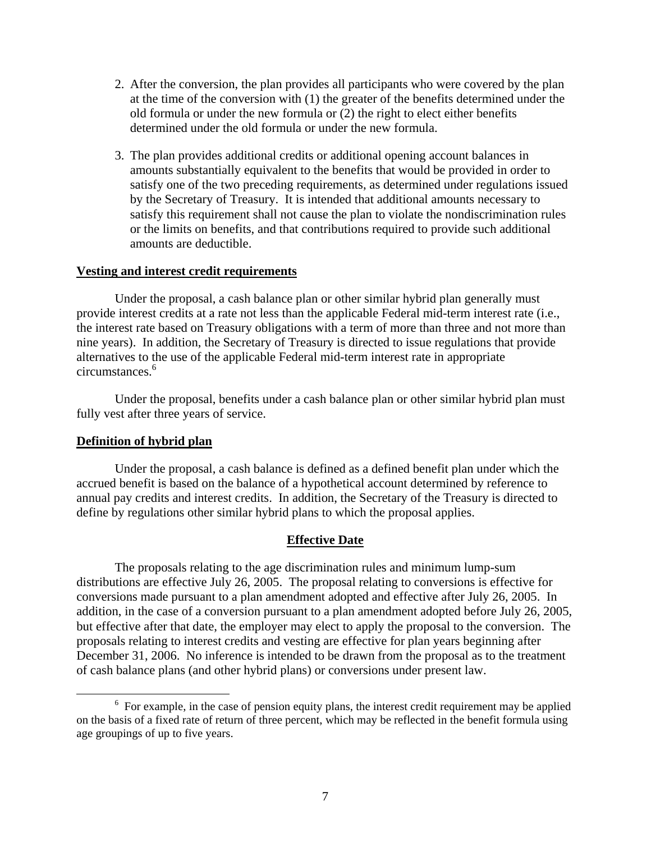- 2. After the conversion, the plan provides all participants who were covered by the plan at the time of the conversion with (1) the greater of the benefits determined under the old formula or under the new formula or (2) the right to elect either benefits determined under the old formula or under the new formula.
- 3. The plan provides additional credits or additional opening account balances in amounts substantially equivalent to the benefits that would be provided in order to satisfy one of the two preceding requirements, as determined under regulations issued by the Secretary of Treasury. It is intended that additional amounts necessary to satisfy this requirement shall not cause the plan to violate the nondiscrimination rules or the limits on benefits, and that contributions required to provide such additional amounts are deductible.

#### **Vesting and interest credit requirements**

Under the proposal, a cash balance plan or other similar hybrid plan generally must provide interest credits at a rate not less than the applicable Federal mid-term interest rate (i.e., the interest rate based on Treasury obligations with a term of more than three and not more than nine years). In addition, the Secretary of Treasury is directed to issue regulations that provide alternatives to the use of the applicable Federal mid-term interest rate in appropriate circumstances.6

Under the proposal, benefits under a cash balance plan or other similar hybrid plan must fully vest after three years of service.

#### **Definition of hybrid plan**

Under the proposal, a cash balance is defined as a defined benefit plan under which the accrued benefit is based on the balance of a hypothetical account determined by reference to annual pay credits and interest credits. In addition, the Secretary of the Treasury is directed to define by regulations other similar hybrid plans to which the proposal applies.

### **Effective Date**

The proposals relating to the age discrimination rules and minimum lump-sum distributions are effective July 26, 2005. The proposal relating to conversions is effective for conversions made pursuant to a plan amendment adopted and effective after July 26, 2005. In addition, in the case of a conversion pursuant to a plan amendment adopted before July 26, 2005, but effective after that date, the employer may elect to apply the proposal to the conversion. The proposals relating to interest credits and vesting are effective for plan years beginning after December 31, 2006. No inference is intended to be drawn from the proposal as to the treatment of cash balance plans (and other hybrid plans) or conversions under present law.

 <sup>6</sup>  $6\,$  For example, in the case of pension equity plans, the interest credit requirement may be applied on the basis of a fixed rate of return of three percent, which may be reflected in the benefit formula using age groupings of up to five years.